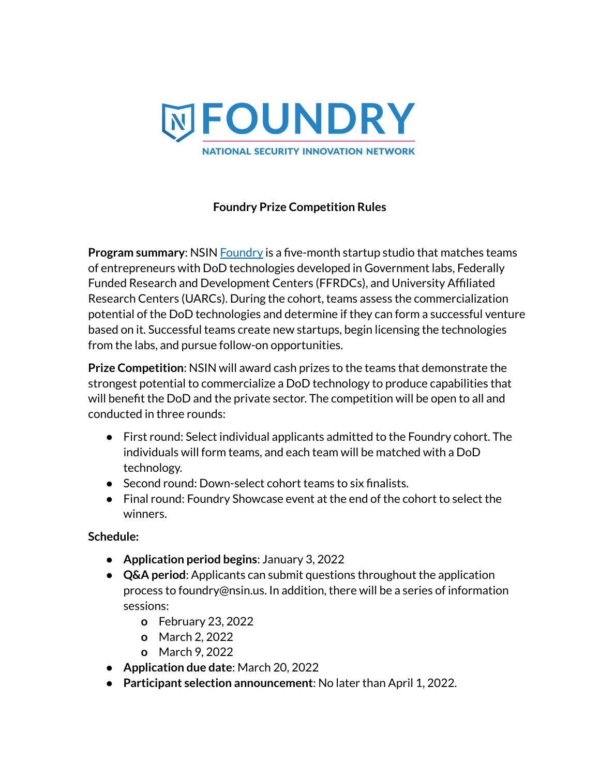

### **Foundry Prize Competition Rules**

**Program summary:** NSIN **[Foundry](https://www.nsin.mil/foundry/)** is a five-month startup studio that matches teams of entrepreneurs with DoD technologies developed in Government labs, Federally Funded Research and Development Centers (FFRDCs), and University Affiliated Research Centers (UARCs). During the cohort, teams assess the commercialization potential of the DoD technologies and determine if they can form a successful venture based on it. Successful teams create new startups, begin licensing the technologies from the labs, and pursue follow-on opportunities.

**Prize Competition**: NSIN will award cash prizes to the teams that demonstrate the strongest potential to commercialize a DoD technology to produce capabilities that will benefit the DoD and the private sector. The competition will be open to all and conducted in three rounds:

- First round: Select individual applicants admitted to the Foundry cohort. The individuals will form teams, and each team will be matched with a DoD technology.
- Second round: Down-select cohort teams to six finalists.
- Final round: Foundry Showcase event at the end of the cohort to select the winners.

**Schedule:**

- **● Application period begins**: January 3, 2022
- **● Q&A period**: Applicants can submit questions throughout the application process to foundry@nsin.us. In addition, there will be a series of information sessions:
	- **o** February 23, 2022
	- **o** March 2, 2022
	- **o** March 9, 2022
- **● Application due date**: March 20, 2022
- **● Participant selection announcement**: No later than April 1, 2022.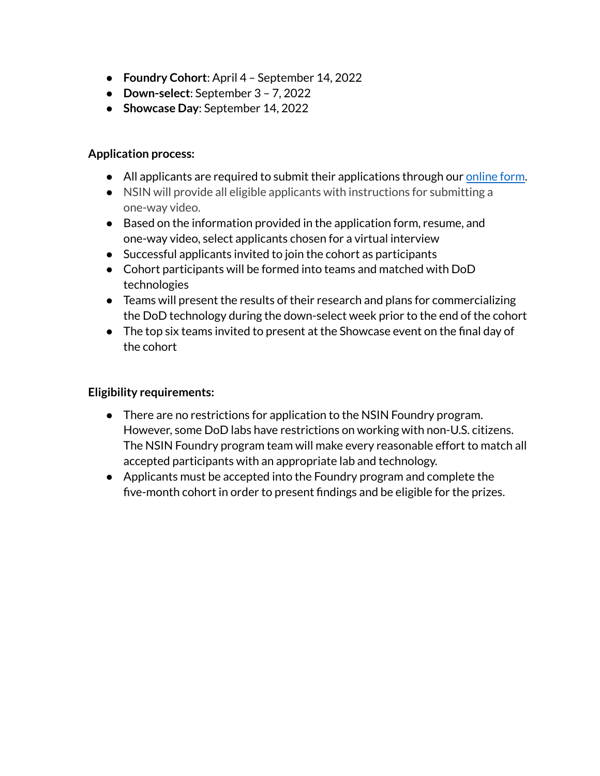- **● Foundry Cohort**: April 4 September 14, 2022
- **● Down-select**: September 3 7, 2022
- **● Showcase Day**: September 14, 2022

#### **Application process:**

- All applicants are required to submit their applications through our [online](https://airtable.com/shraWUmyhQQYPNslD) form.
- NSIN will provide all eligible applicants with instructions for submitting a one-way video.
- Based on the information provided in the application form, resume, and one-way video, select applicants chosen for a virtual interview
- Successful applicants invited to join the cohort as participants
- Cohort participants will be formed into teams and matched with DoD technologies
- Teams will present the results of their research and plans for commercializing the DoD technology during the down-select week prior to the end of the cohort
- The top six teams invited to present at the Showcase event on the final day of the cohort

### **Eligibility requirements:**

- There are no restrictions for application to the NSIN Foundry program. However, some DoD labs have restrictions on working with non-U.S. citizens. The NSIN Foundry program team will make every reasonable effort to match all accepted participants with an appropriate lab and technology.
- Applicants must be accepted into the Foundry program and complete the five-month cohort in order to present findings and be eligible for the prizes.